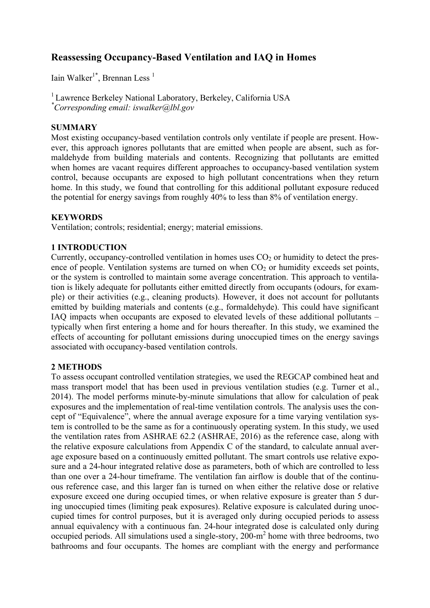# **Reassessing Occupancy-Based Ventilation and IAQ in Homes**

Iain Walker<sup>1\*</sup>, Brennan Less<sup>1</sup>

<sup>1</sup> Lawrence Berkeley National Laboratory, Berkeley, California USA *\* Corresponding email: iswalker@lbl.gov*

# **SUMMARY**

Most existing occupancy-based ventilation controls only ventilate if people are present. However, this approach ignores pollutants that are emitted when people are absent, such as formaldehyde from building materials and contents. Recognizing that pollutants are emitted when homes are vacant requires different approaches to occupancy-based ventilation system control, because occupants are exposed to high pollutant concentrations when they return home. In this study, we found that controlling for this additional pollutant exposure reduced the potential for energy savings from roughly 40% to less than 8% of ventilation energy.

## **KEYWORDS**

Ventilation; controls; residential; energy; material emissions.

## **1 INTRODUCTION**

Currently, occupancy-controlled ventilation in homes uses  $CO<sub>2</sub>$  or humidity to detect the presence of people. Ventilation systems are turned on when  $CO<sub>2</sub>$  or humidity exceeds set points, or the system is controlled to maintain some average concentration. This approach to ventilation is likely adequate for pollutants either emitted directly from occupants (odours, for example) or their activities (e.g., cleaning products). However, it does not account for pollutants emitted by building materials and contents (e.g., formaldehyde). This could have significant IAQ impacts when occupants are exposed to elevated levels of these additional pollutants – typically when first entering a home and for hours thereafter. In this study, we examined the effects of accounting for pollutant emissions during unoccupied times on the energy savings associated with occupancy-based ventilation controls.

### **2 METHODS**

To assess occupant controlled ventilation strategies, we used the REGCAP combined heat and mass transport model that has been used in previous ventilation studies (e.g. Turner et al., 2014). The model performs minute-by-minute simulations that allow for calculation of peak exposures and the implementation of real-time ventilation controls. The analysis uses the concept of "Equivalence", where the annual average exposure for a time varying ventilation system is controlled to be the same as for a continuously operating system. In this study, we used the ventilation rates from ASHRAE 62.2 (ASHRAE, 2016) as the reference case, along with the relative exposure calculations from Appendix C of the standard, to calculate annual average exposure based on a continuously emitted pollutant. The smart controls use relative exposure and a 24-hour integrated relative dose as parameters, both of which are controlled to less than one over a 24-hour timeframe. The ventilation fan airflow is double that of the continuous reference case, and this larger fan is turned on when either the relative dose or relative exposure exceed one during occupied times, or when relative exposure is greater than 5 during unoccupied times (limiting peak exposures). Relative exposure is calculated during unoccupied times for control purposes, but it is averaged only during occupied periods to assess annual equivalency with a continuous fan. 24-hour integrated dose is calculated only during occupied periods. All simulations used a single-story,  $200 \text{--} m^2$  home with three bedrooms, two bathrooms and four occupants. The homes are compliant with the energy and performance